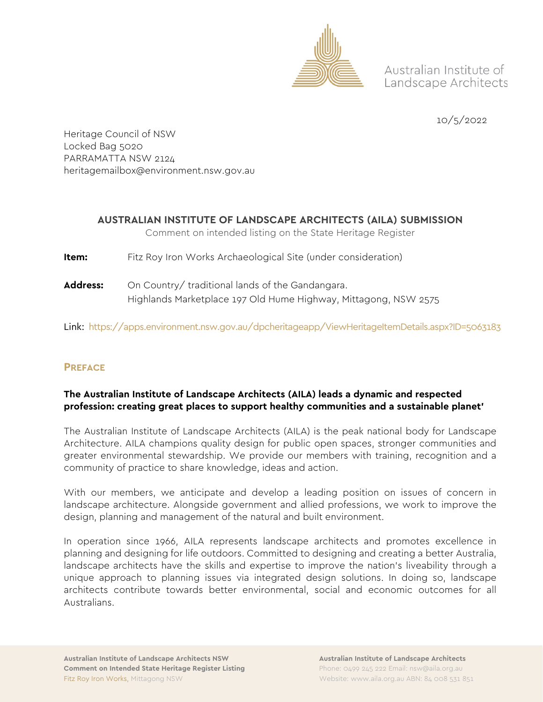

Australian Institute of Landscape Architects

10/5/2022

Heritage Council of NSW Locked Bag 5020 PARRAMATTA NSW 2124 heritagemailbox@environment.nsw.gov.au

# **AUSTRALIAN INSTITUTE OF LANDSCAPE ARCHITECTS (AILA) SUBMISSION**

Comment on intended listing on the State Heritage Register

- **Item:** Fitz Roy Iron Works Archaeological Site (under consideration)
- **Address:** On Country/ traditional lands of the Gandangara. Highlands Marketplace 197 Old Hume Highway, Mittagong, NSW 2575

Link:<https://apps.environment.nsw.gov.au/dpcheritageapp/ViewHeritageItemDetails.aspx?ID=5063183>

# **PREFACE**

#### **The Australian Institute of Landscape Architects (AILA) leads a dynamic and respected profession: creating great places to support healthy communities and a sustainable planet'**

The Australian Institute of Landscape Architects (AILA) is the peak national body for Landscape Architecture. AILA champions quality design for public open spaces, stronger communities and greater environmental stewardship. We provide our members with training, recognition and a community of practice to share knowledge, ideas and action.

With our members, we anticipate and develop a leading position on issues of concern in landscape architecture. Alongside government and allied professions, we work to improve the design, planning and management of the natural and built environment.

In operation since 1966, AILA represents landscape architects and promotes excellence in planning and designing for life outdoors. Committed to designing and creating a better Australia, landscape architects have the skills and expertise to improve the nation's liveability through a unique approach to planning issues via integrated design solutions. In doing so, landscape architects contribute towards better environmental, social and economic outcomes for all Australians.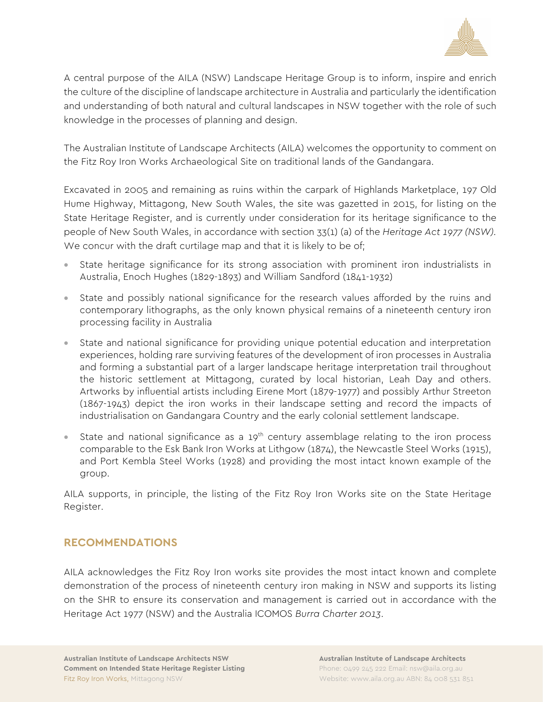

A central purpose of the AILA (NSW) Landscape Heritage Group is to inform, inspire and enrich the culture of the discipline of landscape architecture in Australia and particularly the identification and understanding of both natural and cultural landscapes in NSW together with the role of such knowledge in the processes of planning and design.

The Australian Institute of Landscape Architects (AILA) welcomes the opportunity to comment on the Fitz Roy Iron Works Archaeological Site on traditional lands of the Gandangara.

Excavated in 2005 and remaining as ruins within the carpark of Highlands Marketplace, 197 Old Hume Highway, Mittagong, New South Wales, the site was gazetted in 2015, for listing on the State Heritage Register, and is currently under consideration for its heritage significance to the people of New South Wales, in accordance with section 33(1) (a) of the *Heritage Act 1977 (NSW).* We concur with the draft curtilage map and that it is likely to be of;

- State heritage significance for its strong association with prominent iron industrialists in Australia, Enoch Hughes (1829-1893) and William Sandford (1841-1932)
- State and possibly national significance for the research values afforded by the ruins and contemporary lithographs, as the only known physical remains of a nineteenth century iron processing facility in Australia
- State and national significance for providing unique potential education and interpretation experiences, holding rare surviving features of the development of iron processes in Australia and forming a substantial part of a larger landscape heritage interpretation trail throughout the historic settlement at Mittagong, curated by local historian, Leah Day and others. Artworks by influential artists including Eirene Mort (1879-1977) and possibly Arthur Streeton (1867-1943) depict the iron works in their landscape setting and record the impacts of industrialisation on Gandangara Country and the early colonial settlement landscape.
- State and national significance as a 19<sup>th</sup> century assemblage relating to the iron process comparable to the Esk Bank Iron Works at Lithgow (1874), the Newcastle Steel Works (1915), and Port Kembla Steel Works (1928) and providing the most intact known example of the group.

AILA supports, in principle, the listing of the Fitz Roy Iron Works site on the State Heritage Register.

# **RECOMMENDATIONS**

AILA acknowledges the Fitz Roy Iron works site provides the most intact known and complete demonstration of the process of nineteenth century iron making in NSW and supports its listing on the SHR to ensure its conservation and management is carried out in accordance with the Heritage Act 1977 (NSW) and the Australia ICOMOS *Burra Charter 2013*.